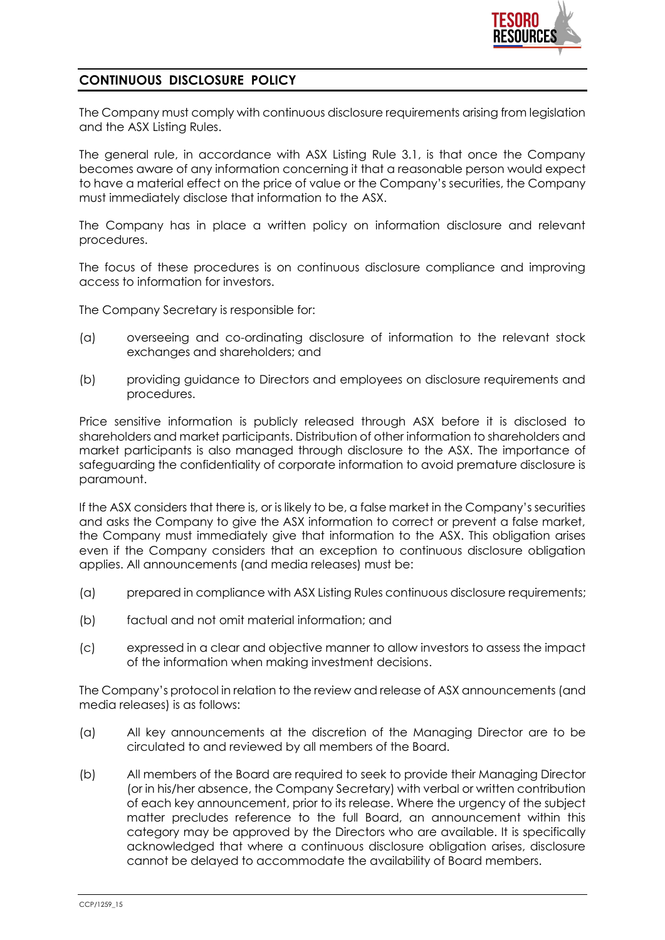

## **CONTINUOUS DISCLOSURE POLICY**

The Company must comply with continuous disclosure requirements arising from legislation and the ASX Listing Rules.

The general rule, in accordance with ASX Listing Rule 3.1, is that once the Company becomes aware of any information concerning it that a reasonable person would expect to have a material effect on the price of value or the Company's securities, the Company must immediately disclose that information to the ASX.

The Company has in place a written policy on information disclosure and relevant procedures.

The focus of these procedures is on continuous disclosure compliance and improving access to information for investors.

The Company Secretary is responsible for:

- (a) overseeing and co-ordinating disclosure of information to the relevant stock exchanges and shareholders; and
- (b) providing guidance to Directors and employees on disclosure requirements and procedures.

Price sensitive information is publicly released through ASX before it is disclosed to shareholders and market participants. Distribution of other information to shareholders and market participants is also managed through disclosure to the ASX. The importance of safeguarding the confidentiality of corporate information to avoid premature disclosure is paramount.

If the ASX considers that there is, or is likely to be, a false market in the Company's securities and asks the Company to give the ASX information to correct or prevent a false market, the Company must immediately give that information to the ASX. This obligation arises even if the Company considers that an exception to continuous disclosure obligation applies. All announcements (and media releases) must be:

- (a) prepared in compliance with ASX Listing Rules continuous disclosure requirements;
- (b) factual and not omit material information; and
- (c) expressed in a clear and objective manner to allow investors to assess the impact of the information when making investment decisions.

The Company's protocol in relation to the review and release of ASX announcements (and media releases) is as follows:

- (a) All key announcements at the discretion of the Managing Director are to be circulated to and reviewed by all members of the Board.
- (b) All members of the Board are required to seek to provide their Managing Director (or in his/her absence, the Company Secretary) with verbal or written contribution of each key announcement, prior to its release. Where the urgency of the subject matter precludes reference to the full Board, an announcement within this category may be approved by the Directors who are available. It is specifically acknowledged that where a continuous disclosure obligation arises, disclosure cannot be delayed to accommodate the availability of Board members.